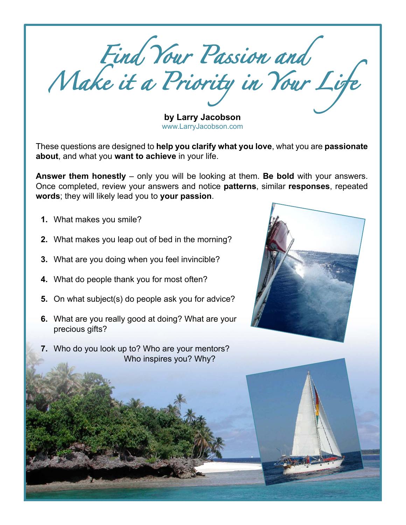Find Your Passion and Make it a Priority in Your Life

**by Larry Jacobson** [www.LarryJacobson.com](http://www.LarryJacobson.com)

These questions are designed to **help you clarify what you love**, what you are **passionate about**, and what you **want to achieve** in your life.

**Answer them honestly** – only you will be looking at them. **Be bold** with your answers. Once completed, review your answers and notice **patterns**, similar **responses**, repeated **words**; they will likely lead you to **your passion**.

- **1.** What makes you smile?
- **2.** What makes you leap out of bed in the morning?
- **3.** What are you doing when you feel invincible?
- **4.** What do people thank you for most often?
- **5.** On what subject(s) do people ask you for advice?
- **6.** What are you really good at doing? What are your precious gifts?
- **7.** Who do you look up to? Who are your mentors? Who inspires you? Why?

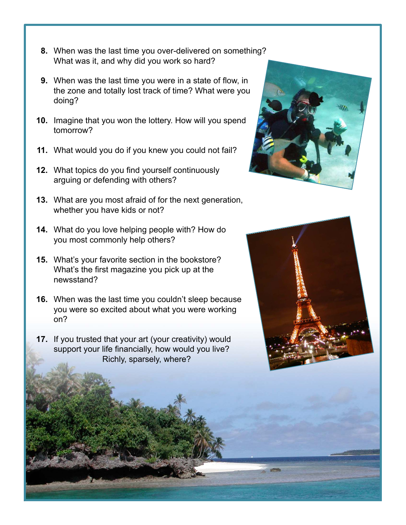- **8.** When was the last time you over-delivered on something? What was it, and why did you work so hard?
- **9.** When was the last time you were in a state of flow, in the zone and totally lost track of time? What were you doing?
- **10.** Imagine that you won the lottery. How will you spend tomorrow?
- **11.** What would you do if you knew you could not fail?
- **12.** What topics do you find yourself continuously arguing or defending with others?
- **13.** What are you most afraid of for the next generation, whether you have kids or not?
- **14.** What do you love helping people with? How do you most commonly help others?
- **15.** What's your favorite section in the bookstore? What's the first magazine you pick up at the newsstand?
- **16.** When was the last time you couldn't sleep because you were so excited about what you were working on?
- **17.** If you trusted that your art (your creativity) would support your life financially, how would you live? Richly, sparsely, where?



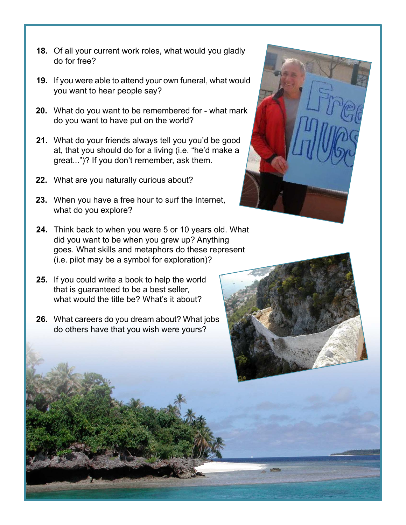- **18.** Of all your current work roles, what would you gladly do for free?
- **19.** If you were able to attend your own funeral, what would you want to hear people say?
- **20.** What do you want to be remembered for what mark do you want to have put on the world?
- **21.** What do your friends always tell you you'd be good at, that you should do for a living (i.e. "he'd make a great...")? If you don't remember, ask them.
- **22.** What are you naturally curious about?
- **23.** When you have a free hour to surf the Internet, what do you explore?
- **24.** Think back to when you were 5 or 10 years old. What did you want to be when you grew up? Anything goes. What skills and metaphors do these represent (i.e. pilot may be a symbol for exploration)?
- **25.** If you could write a book to help the world that is guaranteed to be a best seller, what would the title be? What's it about?
- **26.** What careers do you dream about? What jobs do others have that you wish were yours?